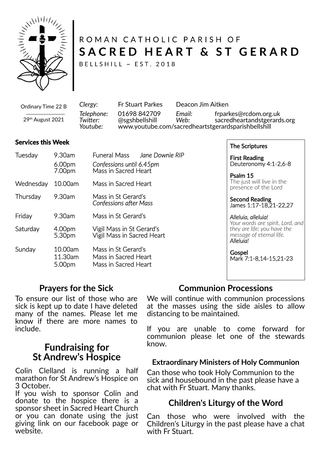

# ROMAN CATHOLIC PARISH OF SACRED HEART & ST GERARD

BELLSHILL ~ EST. 2018

| Ordinary Time 22 B                                                                                                                                                                                                                                  | Clergy:                            | <b>Fr Stuart Parkes</b>        | Deacon Jim Aitken |                                                                                                             |
|-----------------------------------------------------------------------------------------------------------------------------------------------------------------------------------------------------------------------------------------------------|------------------------------------|--------------------------------|-------------------|-------------------------------------------------------------------------------------------------------------|
| the control of the control of the control of the control of the control of the control of the control of the control of the control of the control of the control of the control of the control of the control of the control<br>$29th$ August 2021 | Telephone:<br>Twitter:<br>Youtube: | 01698 842709<br>@sgshbellshill | Email:<br>Web:    | frparkes@rcdom.org.uk<br>sacredheartandstgerards.org<br>www.youtube.com/sacredheartstgerardsparishbellshill |

### **Services this Week**

| Tuesday   | 9.30am<br>6.00 <sub>pm</sub><br>7.00pm | Funeral Mass<br>Jane Downie RIP<br>Confessions until 6.45pm<br>Mass in Sacred Heart |  |  |
|-----------|----------------------------------------|-------------------------------------------------------------------------------------|--|--|
| Wednesday | 10.00am                                | Mass in Sacred Heart                                                                |  |  |
| Thursday  | 9.30am                                 | Mass in St Gerard's<br><b>Confessions after Mass</b>                                |  |  |
| Friday    | 9.30am                                 | Mass in St Gerard's                                                                 |  |  |
| Saturday  | 4.00pm<br>5.30pm                       | Vigil Mass in St Gerard's<br>Vigil Mass in Sacred Heart                             |  |  |
| Sunday    | 10.00am<br>11.30am<br>5.00pm           | Mass in St Gerard's<br>Mass in Sacred Heart<br>Mass in Sacred Heart                 |  |  |

The Scriptures

First Reading Deuteronomy 4:1-2,6-8

Psalm 15 The just will live in the presence of the Lord

Second Reading James 1:17-18,21-22,27

#### *Alleluia, alleluia! Your words are spirit, Lord, and they are life; you have the message of eternal life. Alleluia!*

**Gospel** Mark 7:1-8,14-15,21-23

# **Prayers for the Sick**

To ensure our list of those who are sick is kept up to date I have deleted many of the names. Please let me know if there are more names to include.

# **Fundraising for St Andrew's Hospice**

Colin Clelland is running a half marathon for St Andrew's Hospice on 3 October.

If you wish to sponsor Colin and donate to the hospice there is a sponsor sheet in Sacred Heart Church or you can donate using the just giving link on our facebook page or website.

# **Communion Processions**

We will continue with communion processions at the masses using the side aisles to allow distancing to be maintained.

If you are unable to come forward for communion please let one of the stewards know.

### **Extraordinary Ministers of Holy Communion**

Can those who took Holy Communion to the sick and housebound in the past please have a chat with Fr Stuart. Many thanks.

# **Children's Liturgy of the Word**

Can those who were involved with the Children's Liturgy in the past please have a chat with Fr Stuart.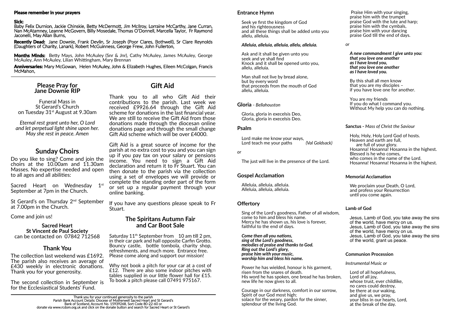Funeral Mass in St Gerard's Church on Tuesday 31<sup>st</sup> August at 9.30am

Do you like to sing? Come and join the choirs at the 10.00am and 11.30am Masses. No expertise needed and open to all ages and all abilities:

### **Please Pray for Jane Downie RIP**

Sacred Heart on Wednesday 1<sup>st</sup> September at 7pm in the Church.

St Gerard's on Thursday 2<sup>nd</sup> September at 7.00pm in the Church.

*Eternal rest grant unto her, O Lord and let perpetual light shine upon her. May she rest in peace. Amen*

# **Sunday Choirs**

Saturday  $11<sup>th</sup>$  September from  $10$  am till 2 pm, in their car park and hall opposite Carfin Grotto. Bouncy castle, bottle tombola, charity shop, refreshments, and much more. Entrance free. Please come along and support our mission!

Baby Felix Durnion, Jackie Chinskie, Betty McDermott, Jim McIlroy, Lorraine McCarthy, Jane Curran, Nan McAtamney, Leanne McGovern, Billy Mosedale, Thomas O'Donnell, Marcella Taylor, Fr Raymond Jaconelli, May Allan Burns,

# Come and join us! **The Spiritans Autumn Fair and Car Boot Sale**

The collection last weekend was £1692. The parish also receives an average of  $£430$  weekly in electronic donations. Thank you for your generosity.

The second collection in September is for the Ecclesiastical Students' Fund.

Why not book a pitch for your car at a cost of £12. There are also some indoor pitches with tables supplied in our little flower hall for £15. To book a pitch please call 07491 975167.

### **Please remember in your prayers**

#### **Sick:**

Gift Aid is a great source of income for the parish at no extra cost to you and you can sign up if you pay tax on your salary or pensions income. You need to sign a Gift Aid declaration and return it to Fr Stuart. You can then donate to the parish via the collection using a set of envelopes we will provide or complete the standing order part of the form or set up a regular payment through your online banking.

If you have any questions please speak to Fr Stuart.

**Recently Dead:** Jane Downie, Frank Devlin, Sr Joseph (Poor Clares, Bothwell), Sr Clare Reynolds (Daughters of Charity, Lanark), Robert McGuinness, George Frew, John Fullerton,

**Months Minds:** Betty Mays, John McAuley (Snr & Jnr), Cathy McAuley, James McAuley, George McAuley, Ann McAuley, Lilian Whittingham, Mary Brennan

**Anniversaries:** Mary McGowan, Helen McAuley, John & Elizabeth Hughes, Eileen McColgan, Francis McMahon,

> Sing of the Lord's goodness, Father of all wisdom, come to him and bless his name. Mercy he has shown us, his love is forever, faithful to the end of days.

### **Sacred Heart St Vincent de Paul Society** can be contacted on 07842 712568

# **Thank You**

*Come then all you nations. sing of the Lord's goodness, melodies of praise and thanks to God. Ring out the Lord's glory, praise him with your music, worship him and bless his name.*

Praise Him with your singing, praise him with the trumpet praise God with the lute and harp; praise him with the cymbals, praise him with your dancing praise God till the end of days.

# **Gi� Aid**

Thank you to all who Gift Aid their contributions to the parish. Last week we received £9926.64 through the Gift Aid scheme for donations in the last financial year. We are still to receive the Gift Aid from those donations made through the diocesan online donations page and through the small change Gift Aid scheme which will be over £4000.

> We proclaim your Death, O Lord, and profess your Resurrection un�l you come again.

Seek ye first the kingdom of God and his righteousness and all these things shall be added unto you allelu, alleluia.

#### *Alleluia, alleluia, alleluia, allelu, alleluia.*

Ask and it shall be given unto you seek and ye shall find Knock and it shall be opened unto you, allelu, alleluia.

Man shall not live by bread alone, but by every word that proceeds from the mouth of God allelu, alleluia.

**Gloria** - *Bellahouston*

Gloria, gloria in execelsis Deo, Gloria, gloria in execelsis Deo.

### **Psalm**

Lord make me know your ways, Lord teach me your paths *(Val Goldsack)*

*or*

The just will live in the presence of the Lord.

### **Gospel Acclamation**

Alleluia, alleluia, alleluia. Alleluia, alleluia, alleluia.

### **Offertory**

Power he has wielded, honour is his garment, risen from the snares of death. His word he has spoken, one bread he has broken, new life he now gives to all.

Courage in our darkness, comfort in our sorrow, Spirit of our God most high; solace for the weary, pardon for the sinner, splendour of the living God.

*or*

*A new commandment I give unto you: that you love one another as I have loved you, that you love one another as I have loved you.*

By this shall all men know that you are my disciples – if you have love one for another.

You are my friends If you do what I command you. Without My help you can do nothing.

### **Sanctus -** *Mass of Christ the Saviour*

Holy, Holy, Holy Lord God of hosts. Heaven and earth are full, are full of your glory. Hosanna! Hosanna! Hosanna in the highest. Blessed is he who comes, who comes in the name of the Lord. Hosanna! Hosanna! Hosanna in the highest.

### **Memorial Acclamation**

#### **Lamb of God**

Jesus, Lamb of God, you take away the sins of the world, have mercy on us. Jesus, Lamb of God, you take away the sins of the world, have mercy on us. Jesus, Lamb of God, you take away the sins of the world, grant us peace.

#### **Communion Procession**

#### *Instrumental Music or*

Lord of all hopefulness, Lord of all joy. whose trust, ever childlike, no cares could destroy, be there at our waking, and give us, we pray, your bliss in our hearts, Lord, at the break of the day.